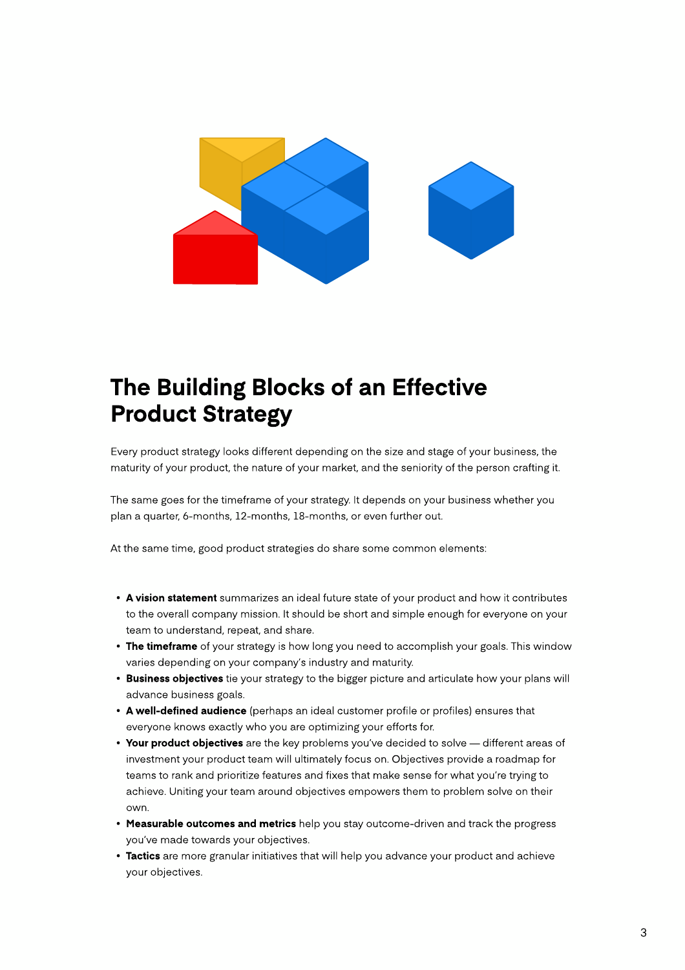

## The Building Blocks of an Effective Product Strategy

Every product strategy looks different depending on the size and stage of your business, the maturity of your product, the nature of your market, and the seniority of the person crafting it.

The same goes for the timeframe of your strategy. It depends on your business whether you plan a quarter, 6-months, 12-months, 18-months, or even further out.

At the same time, good product strategies do share some common elements:

- A vision statement summarizes an ideal future state of your product and how it contributes to the overall company mission. It should be short and simple enough for everyone on your team to understand, repeat, and share
- The timeframe of your strategy is how long you need to accomplish your goals. This window varies depending on your company's industry and maturity
- Business objectives tie your strategy to the bigger picture and articulate how your plans will advance business goals
- A well-defined audience (perhaps an ideal customer profile or profiles) ensures that everyone knows exactly who you are optimizing your efforts for
- Your product objectives are the key problems you've decided to solve different areas of investment your product team will ultimately focus on. Objectives provide a roadmap for teams to rank and prioritize features and fixes that make sense for what you're trying to achieve. Uniting your team around objectives empowers them to problem solve on their own.
- Measurable outcomes and metrics help you stay outcome-driven and track the progress you've made towards your objectives.
- Tactics are more granular initiatives that will help you advance your product and achieve your objectives.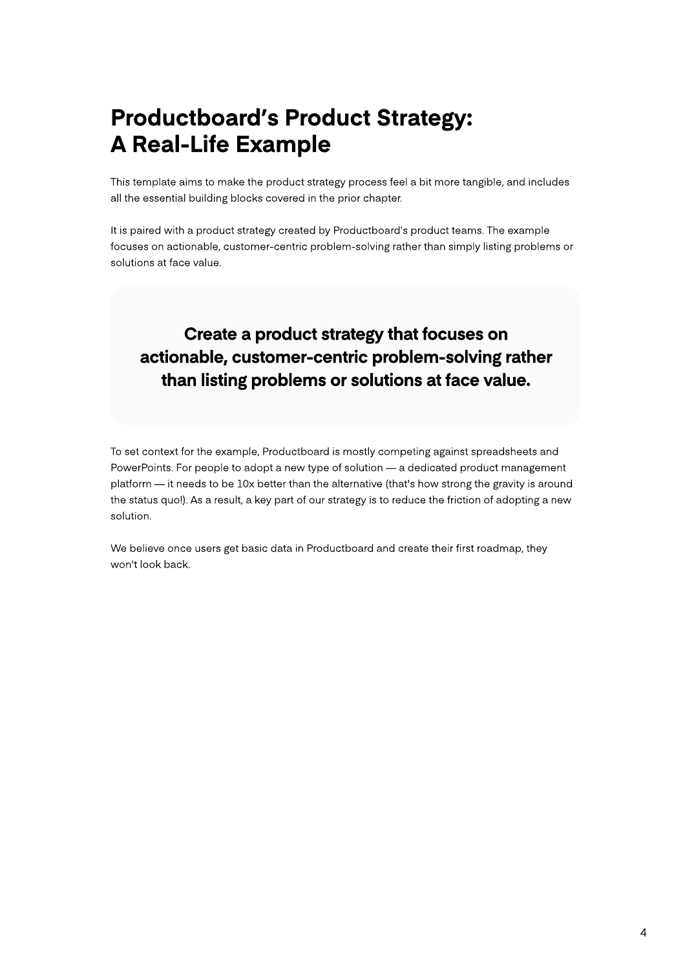## Productboard's Product Strategy: A Real-Life Example

This template aims to make the product strategy process feel a bit more tangible, and includes all the essential building blocks covered in the prior chapter.

It is paired with a product strategy created by Productboard's product teams. The example focuses on actionable, customer-centric problem-solving rather than simply listing problems or solutions at face value.

### Create a product strategy that focuses on actionable, customer-centric problem-solving rather than listing problems or solutions at face value.

To set context for the example, Productboard is mostly competing against spreadsheets and PowerPoints. For people to adopt a new type of solution — a dedicated product management platform — it needs to be 10x better than the alternative (that's how strong the gravity is around the status quo!). As a result, a key part of our strategy is to reduce the friction of adopting a new solution.

We believe once users get basic data in Productboard and create their first roadmap, they won't look back.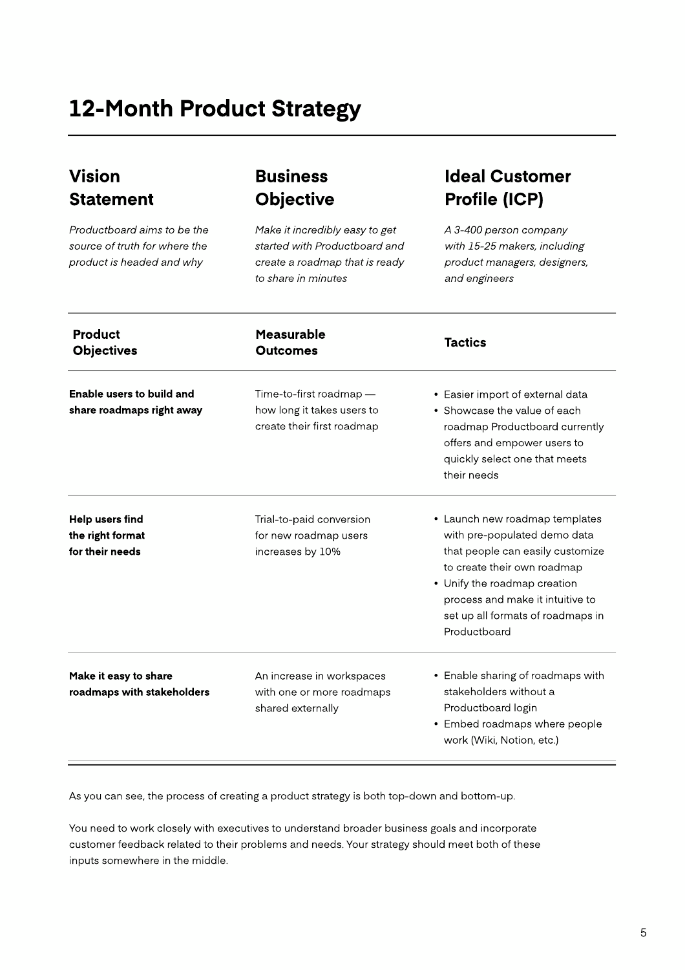## 12-Month Product Strategy

### Vision **Statement**

Productboard aims to be the source of truth for where the product is headed and why

#### Business **Objective**

Make it incredibly easy to get started with Productboard and create a roadmap that is ready to share in minutes

#### Ideal Customer Profile (ICP)

A 3-400 person company with 15-25 makers, including product managers, designers, and engineers

| <b>Product</b><br><b>Objectives</b>                           | <b>Measurable</b><br><b>Outcomes</b>                                                | <b>Tactics</b>                                                                                                                                                                                                                                             |
|---------------------------------------------------------------|-------------------------------------------------------------------------------------|------------------------------------------------------------------------------------------------------------------------------------------------------------------------------------------------------------------------------------------------------------|
| Enable users to build and<br>share roadmaps right away        | Time-to-first roadmap -<br>how long it takes users to<br>create their first roadmap | • Easier import of external data<br>• Showcase the value of each<br>roadmap Productboard currently<br>offers and empower users to<br>quickly select one that meets<br>their needs                                                                          |
| <b>Help users find</b><br>the right format<br>for their needs | Trial-to-paid conversion<br>for new roadmap users<br>increases by 10%               | • Launch new roadmap templates<br>with pre-populated demo data<br>that people can easily customize<br>to create their own roadmap<br>• Unify the roadmap creation<br>process and make it intuitive to<br>set up all formats of roadmaps in<br>Productboard |
| Make it easy to share<br>roadmaps with stakeholders           | An increase in workspaces<br>with one or more roadmaps<br>shared externally         | • Enable sharing of roadmaps with<br>stakeholders without a<br>Productboard login<br>• Embed roadmaps where people<br>work (Wiki, Notion, etc.)                                                                                                            |

As you can see, the process of creating a product strategy is both top-down and bottom-up.

You need to work closely with executives to understand broader business goals and incorporate customer feedback related to their problems and needs. Your strategy should meet both of these inputs somewhere in the middle.